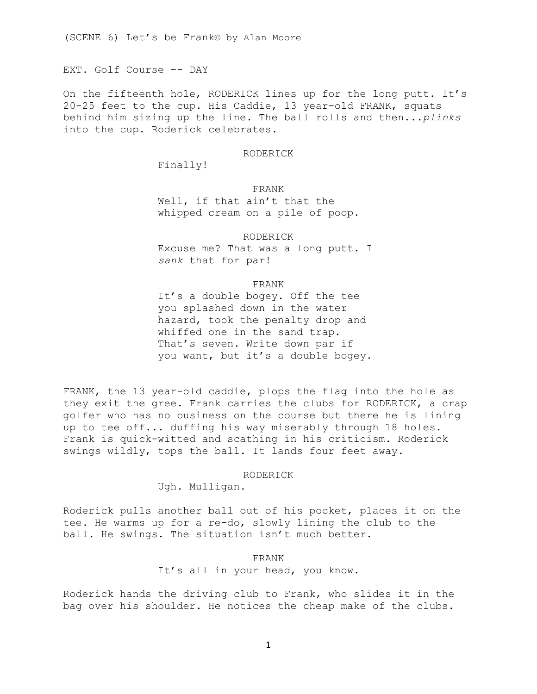EXT. Golf Course -- DAY

On the fifteenth hole, RODERICK lines up for the long putt. It's 20-25 feet to the cup. His Caddie, 13 year-old FRANK, squats behind him sizing up the line. The ball rolls and then...*plinks* into the cup. Roderick celebrates.

### RODERICK

Finally!

FRANK

Well, if that ain't that the whipped cream on a pile of poop.

RODERICK

Excuse me? That was a long putt. I *sank* that for par!

## FRANK

It's a double bogey. Off the tee you splashed down in the water hazard, took the penalty drop and whiffed one in the sand trap. That's seven. Write down par if you want, but it's a double bogey.

FRANK, the 13 year-old caddie, plops the flag into the hole as they exit the gree. Frank carries the clubs for RODERICK, a crap golfer who has no business on the course but there he is lining up to tee off... duffing his way miserably through 18 holes. Frank is quick-witted and scathing in his criticism. Roderick swings wildly, tops the ball. It lands four feet away.

#### RODERICK

Ugh. Mulligan.

Roderick pulls another ball out of his pocket, places it on the tee. He warms up for a re-do, slowly lining the club to the ball. He swings. The situation isn't much better.

FRANK

It's all in your head, you know.

Roderick hands the driving club to Frank, who slides it in the bag over his shoulder. He notices the cheap make of the clubs.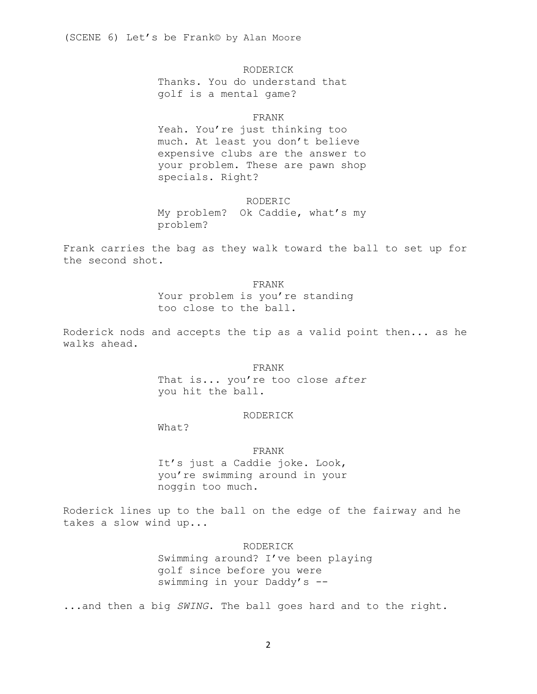RODERICK

Thanks. You do understand that golf is a mental game?

## FRANK

Yeah. You're just thinking too much. At least you don't believe expensive clubs are the answer to your problem. These are pawn shop specials. Right?

#### RODERIC

My problem? Ok Caddie, what's my problem?

Frank carries the bag as they walk toward the ball to set up for the second shot.

### FRANK

Your problem is you're standing too close to the ball.

Roderick nods and accepts the tip as a valid point then... as he walks ahead.

FRANK

That is... you're too close *after* you hit the ball.

# RODERICK

What?

# FRANK

It's just a Caddie joke. Look, you're swimming around in your noggin too much.

Roderick lines up to the ball on the edge of the fairway and he takes a slow wind up...

## RODERICK

Swimming around? I've been playing golf since before you were swimming in your Daddy's --

...and then a big *SWING*. The ball goes hard and to the right.